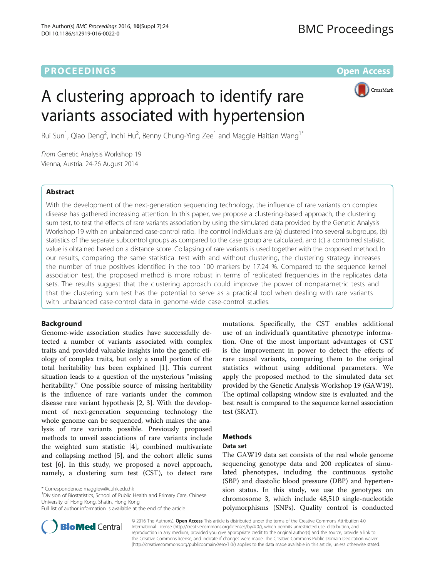# **PROCEEDINGS CONSIDERING SECOND CONSIDERING SECOND CONSIDERING SECOND SECOND SECOND SECOND SECOND SECOND SECOND SECOND SECOND SECOND SECOND SECOND SECOND SECOND SECOND SECOND SECOND SECOND SECOND SECOND SECOND SECOND SEC**



# A clustering approach to identify rare variants associated with hypertension

Rui Sun<sup>1</sup>, Qiao Deng<sup>2</sup>, Inchi Hu<sup>2</sup>, Benny Chung-Ying Zee<sup>1</sup> and Maggie Haitian Wang<sup>1\*</sup>

From Genetic Analysis Workshop 19 Vienna, Austria. 24-26 August 2014

# Abstract

With the development of the next-generation sequencing technology, the influence of rare variants on complex disease has gathered increasing attention. In this paper, we propose a clustering-based approach, the clustering sum test, to test the effects of rare variants association by using the simulated data provided by the Genetic Analysis Workshop 19 with an unbalanced case-control ratio. The control individuals are (a) clustered into several subgroups, (b) statistics of the separate subcontrol groups as compared to the case group are calculated, and (c) a combined statistic value is obtained based on a distance score. Collapsing of rare variants is used together with the proposed method. In our results, comparing the same statistical test with and without clustering, the clustering strategy increases the number of true positives identified in the top 100 markers by 17.24 %. Compared to the sequence kernel association test, the proposed method is more robust in terms of replicated frequencies in the replicates data sets. The results suggest that the clustering approach could improve the power of nonparametric tests and that the clustering sum test has the potential to serve as a practical tool when dealing with rare variants with unbalanced case-control data in genome-wide case-control studies.

# Background

Genome-wide association studies have successfully detected a number of variants associated with complex traits and provided valuable insights into the genetic etiology of complex traits, but only a small portion of the total heritability has been explained [\[1](#page-4-0)]. This current situation leads to a question of the mysterious "missing heritability." One possible source of missing heritability is the influence of rare variants under the common disease rare variant hypothesis [\[2](#page-4-0), [3\]](#page-4-0). With the development of next-generation sequencing technology the whole genome can be sequenced, which makes the analysis of rare variants possible. Previously proposed methods to unveil associations of rare variants include the weighted sum statistic [[4\]](#page-4-0), combined multivariate and collapsing method [[5\]](#page-4-0), and the cohort allelic sums test [\[6](#page-4-0)]. In this study, we proposed a novel approach, namely, a clustering sum test (CST), to detect rare

\* Correspondence: [maggiew@cuhk.edu.hk](mailto:maggiew@cuhk.edu.hk) <sup>1</sup>

<sup>1</sup> Division of Biostatistics, School of Public Health and Primary Care, Chinese University of Hong Kong, Shatin, Hong Kong

mutations. Specifically, the CST enables additional use of an individual's quantitative phenotype information. One of the most important advantages of CST is the improvement in power to detect the effects of rare causal variants, comparing them to the original statistics without using additional parameters. We apply the proposed method to the simulated data set provided by the Genetic Analysis Workshop 19 (GAW19). The optimal collapsing window size is evaluated and the best result is compared to the sequence kernel association test (SKAT).

# Methods

## Data set

The GAW19 data set consists of the real whole genome sequencing genotype data and 200 replicates of simulated phenotypes, including the continuous systolic (SBP) and diastolic blood pressure (DBP) and hypertension status. In this study, we use the genotypes on chromosome 3, which include 48,510 single-nucleotide polymorphisms (SNPs). Quality control is conducted



© 2016 The Author(s). Open Access This article is distributed under the terms of the Creative Commons Attribution 4.0 International License [\(http://creativecommons.org/licenses/by/4.0/](http://creativecommons.org/licenses/by/4.0/)), which permits unrestricted use, distribution, and reproduction in any medium, provided you give appropriate credit to the original author(s) and the source, provide a link to the Creative Commons license, and indicate if changes were made. The Creative Commons Public Domain Dedication waiver [\(http://creativecommons.org/publicdomain/zero/1.0/](http://creativecommons.org/publicdomain/zero/1.0/)) applies to the data made available in this article, unless otherwise stated.

Full list of author information is available at the end of the article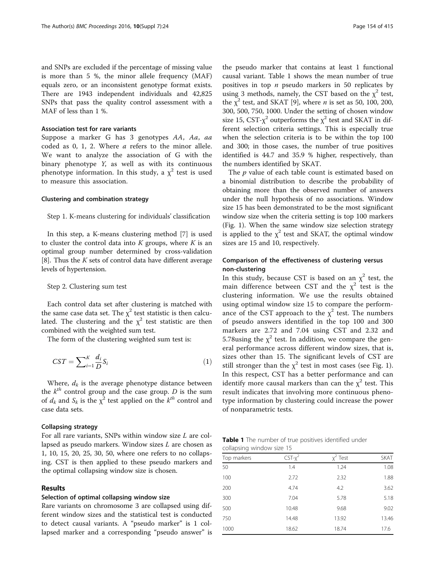<span id="page-1-0"></span>and SNPs are excluded if the percentage of missing value is more than 5 %, the minor allele frequency (MAF) equals zero, or an inconsistent genotype format exists. There are 1943 independent individuals and 42,825 SNPs that pass the quality control assessment with a MAF of less than 1 %.

#### Association test for rare variants

Suppose a marker G has 3 genotypes AA, Aa, aa coded as 0, 1, 2. Where a refers to the minor allele. We want to analyze the association of G with the binary phenotype  $Y$ , as well as with its continuous phenotype information. In this study, a  $\chi^2$  test is used to measure this association.

# Clustering and combination strategy

### Step 1. K-means clustering for individuals' classification

In this step, a K-means clustering method [[7](#page-4-0)] is used to cluster the control data into  $K$  groups, where  $K$  is an optimal group number determined by cross-validation [[8\]](#page-4-0). Thus the  $K$  sets of control data have different average levels of hypertension.

#### Step 2. Clustering sum test

Each control data set after clustering is matched with the same case data set. The  $\chi^2$  test statistic is then calculated. The clustering and the  $\chi^2$  test statistic are then combined with the weighted sum test.

The form of the clustering weighted sum test is:

$$
CST = \sum_{i=1}^{K} \frac{d_i}{D} S_i
$$
 (1)

Where,  $d_k$  is the average phenotype distance between the  $k^{th}$  control group and the case group. D is the sum of  $d_k$  and  $S_k$  is the  $\chi^2$  test applied on the  $k^{th}$  control and case data sets.

## Collapsing strategy

For all rare variants, SNPs within window size L are collapsed as pseudo markers. Window sizes L are chosen as 1, 10, 15, 20, 25, 30, 50, where one refers to no collapsing. CST is then applied to these pseudo markers and the optimal collapsing window size is chosen.

#### Results

## Selection of optimal collapsing window size

Rare variants on chromosome 3 are collapsed using different window sizes and the statistical test is conducted to detect causal variants. A "pseudo marker" is 1 collapsed marker and a corresponding "pseudo answer" is

the pseudo marker that contains at least 1 functional causal variant. Table 1 shows the mean number of true positives in top  $n$  pseudo markers in 50 replicates by using 3 methods, namely, the CST based on the  $\chi^2$  test, the  $\chi^2$  test, and SKAT [\[9](#page-4-0)], where *n* is set as 50, 100, 200, 300, 500, 750, 1000. Under the setting of chosen window size 15, CST- $\chi^2$  outperforms the  $\chi^2$  test and SKAT in different selection criteria settings. This is especially true when the selection criteria is to be within the top 100 and 300; in those cases, the number of true positives identified is 44.7 and 35.9 % higher, respectively, than the numbers identified by SKAT.

The *p* value of each table count is estimated based on a binomial distribution to describe the probability of obtaining more than the observed number of answers under the null hypothesis of no associations. Window size 15 has been demonstrated to be the most significant window size when the criteria setting is top 100 markers (Fig. [1](#page-2-0)). When the same window size selection strategy is applied to the  $\chi^2$  test and SKAT, the optimal window sizes are 15 and 10, respectively.

# Comparison of the effectiveness of clustering versus non-clustering

In this study, because CST is based on an  $\chi^2$  test, the main difference between CST and the  $x^2$  test is the clustering information. We use the results obtained using optimal window size 15 to compare the performance of the CST approach to the  $\chi^2$  test. The numbers of pseudo answers identified in the top 100 and 300 markers are 2.72 and 7.04 using CST and 2.32 and 5.78using the  $\chi^2$  test. In addition, we compare the general performance across different window sizes, that is, sizes other than 15. The significant levels of CST are still stronger than the  $\chi^2$  test in most cases (see Fig. [1](#page-2-0)). In this respect, CST has a better performance and can identify more causal markers than can the  $\chi^2$  test. This result indicates that involving more continuous phenotype information by clustering could increase the power of nonparametric tests.

| <b>Table 1</b> The number of true positives identified under |  |
|--------------------------------------------------------------|--|
| collapsing window size 15                                    |  |

| Top markers | $CST-x^2$ | $x^2$ Test | <b>SKAT</b> |
|-------------|-----------|------------|-------------|
| 50          | 1.4       | 1.24       | 1.08        |
| 100         | 2.72      | 2.32       | 1.88        |
| 200         | 4.74      | 4.2        | 3.62        |
| 300         | 7.04      | 5.78       | 5.18        |
| 500         | 10.48     | 9.68       | 9.02        |
| 750         | 14.48     | 13.92      | 13.46       |
| 1000        | 18.62     | 18.74      | 17.6        |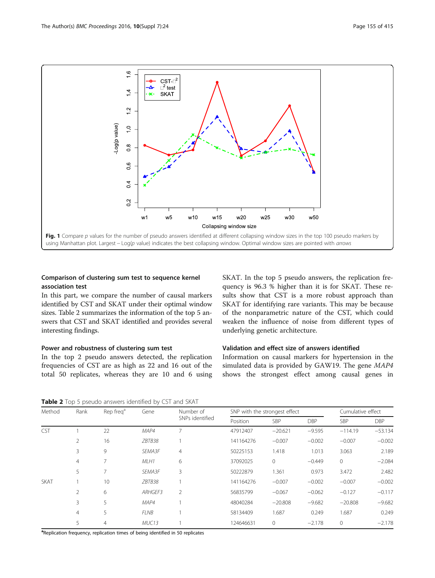<span id="page-2-0"></span>

# Comparison of clustering sum test to sequence kernel association test

In this part, we compare the number of causal markers identified by CST and SKAT under their optimal window sizes. Table 2 summarizes the information of the top 5 answers that CST and SKAT identified and provides several interesting findings.

# Power and robustness of clustering sum test

In the top 2 pseudo answers detected, the replication frequencies of CST are as high as 22 and 16 out of the total 50 replicates, whereas they are 10 and 6 using SKAT. In the top 5 pseudo answers, the replication frequency is 96.3 % higher than it is for SKAT. These results show that CST is a more robust approach than SKAT for identifying rare variants. This may be because of the nonparametric nature of the CST, which could weaken the influence of noise from different types of underlying genetic architecture.

# Validation and effect size of answers identified

Information on causal markers for hypertension in the simulated data is provided by GAW19. The gene MAP4 shows the strongest effect among causal genes in

Table 2 Top 5 pseudo answers identified by CST and SKAT

| Method      | Rank          | Rep freq <sup>a</sup> | Gene        | Number of<br>SNPs identified | SNP with the strongest effect |              |            | Cumulative effect |            |
|-------------|---------------|-----------------------|-------------|------------------------------|-------------------------------|--------------|------------|-------------------|------------|
|             |               |                       |             |                              | Position                      | SBP          | <b>DBP</b> | <b>SBP</b>        | <b>DBP</b> |
| <b>CST</b>  |               | 22                    | MAP4        |                              | 47912407                      | $-20.621$    | $-9.595$   | $-114.19$         | $-53.134$  |
|             | 2             | 16                    | ZBTB38      |                              | 141164276                     | $-0.007$     | $-0.002$   | $-0.007$          | $-0.002$   |
|             | 3             | 9                     | SEMA3F      | $\overline{4}$               | 50225153                      | 1.418        | 1.013      | 3.063             | 2.189      |
|             | 4             |                       | MLH1        | 6                            | 37092025                      | $\mathbf{0}$ | $-0.449$   | $\mathbf{0}$      | $-2.084$   |
|             | 5             |                       | SEMA3F      | 3                            | 50222879                      | 1.361        | 0.973      | 3.472             | 2.482      |
| <b>SKAT</b> |               | 10                    | ZBTB38      |                              | 141164276                     | $-0.007$     | $-0.002$   | $-0.007$          | $-0.002$   |
|             | $\mathcal{P}$ | 6                     | ARHGEF3     | 2                            | 56835799                      | $-0.067$     | $-0.062$   | $-0.127$          | $-0.117$   |
|             | 3             | 5                     | MAP4        |                              | 48040284                      | $-20.808$    | $-9.682$   | $-20.808$         | $-9.682$   |
|             | 4             | 5                     | <b>FLNB</b> |                              | 58134409                      | 1.687        | 0.249      | 1.687             | 0.249      |
|             | 5             | 4                     | MUC13       |                              | 124646631                     | $\mathbf{0}$ | $-2.178$   | $\mathbf{0}$      | $-2.178$   |

<sup>a</sup>Replication frequency, replication times of being identified in 50 replicates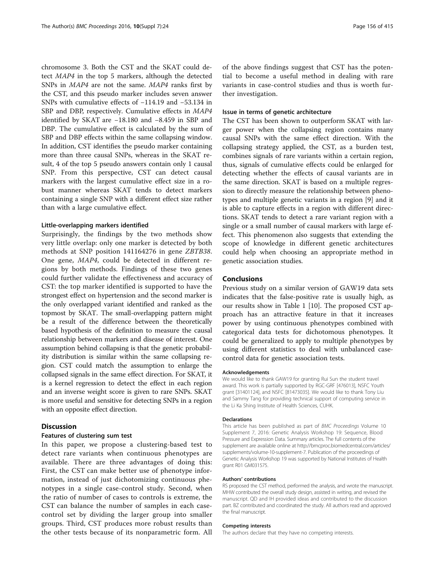chromosome 3. Both the CST and the SKAT could detect MAP4 in the top 5 markers, although the detected SNPs in MAP4 are not the same. MAP4 ranks first by the CST, and this pseudo marker includes seven answer SNPs with cumulative effects of −114.19 and −53.134 in SBP and DBP, respectively. Cumulative effects in MAP4 identified by SKAT are −18.180 and −8.459 in SBP and DBP. The cumulative effect is calculated by the sum of SBP and DBP effects within the same collapsing window. In addition, CST identifies the pseudo marker containing more than three causal SNPs, whereas in the SKAT result, 4 of the top 5 pseudo answers contain only 1 causal SNP. From this perspective, CST can detect causal markers with the largest cumulative effect size in a robust manner whereas SKAT tends to detect markers containing a single SNP with a different effect size rather than with a large cumulative effect.

### Little-overlapping markers identified

Surprisingly, the findings by the two methods show very little overlap: only one marker is detected by both methods at SNP position 141164276 in gene ZBTB38. One gene, MAP4, could be detected in different regions by both methods. Findings of these two genes could further validate the effectiveness and accuracy of CST: the top marker identified is supported to have the strongest effect on hypertension and the second marker is the only overlapped variant identified and ranked as the topmost by SKAT. The small-overlapping pattern might be a result of the difference between the theoretically based hypothesis of the definition to measure the causal relationship between markers and disease of interest. One assumption behind collapsing is that the genetic probability distribution is similar within the same collapsing region. CST could match the assumption to enlarge the collapsed signals in the same effect direction. For SKAT, it is a kernel regression to detect the effect in each region and an inverse weight score is given to rare SNPs. SKAT is more useful and sensitive for detecting SNPs in a region with an opposite effect direction.

# **Discussion**

# Features of clustering sum test

In this paper, we propose a clustering-based test to detect rare variants when continuous phenotypes are available. There are three advantages of doing this: First, the CST can make better use of phenotype information, instead of just dichotomizing continuous phenotypes in a single case-control study. Second, when the ratio of number of cases to controls is extreme, the CST can balance the number of samples in each casecontrol set by dividing the larger group into smaller groups. Third, CST produces more robust results than the other tests because of its nonparametric form. All of the above findings suggest that CST has the potential to become a useful method in dealing with rare variants in case-control studies and thus is worth further investigation.

## Issue in terms of genetic architecture

The CST has been shown to outperform SKAT with larger power when the collapsing region contains many causal SNPs with the same effect direction. With the collapsing strategy applied, the CST, as a burden test, combines signals of rare variants within a certain region, thus, signals of cumulative effects could be enlarged for detecting whether the effects of causal variants are in the same direction. SKAT is based on a multiple regression to directly measure the relationship between phenotypes and multiple genetic variants in a region [\[9](#page-4-0)] and it is able to capture effects in a region with different directions. SKAT tends to detect a rare variant region with a single or a small number of causal markers with large effect. This phenomenon also suggests that extending the scope of knowledge in different genetic architectures could help when choosing an appropriate method in genetic association studies.

## Conclusions

Previous study on a similar version of GAW19 data sets indicates that the false-positive rate is usually high, as our results show in Table [1](#page-1-0) [\[10](#page-4-0)]. The proposed CST approach has an attractive feature in that it increases power by using continuous phenotypes combined with categorical data tests for dichotomous phenotypes. It could be generalized to apply to multiple phenotypes by using different statistics to deal with unbalanced casecontrol data for genetic association tests.

#### Acknowledgements

We would like to thank GAW19 for granting Rui Sun the student travel award. This work is partially supported by RGC-GRF [476013], NSFC Youth grant [31401124], and NSFC [81473035]. We would like to thank Tony Liu and Sammy Tang for providing technical support of computing service in the Li Ka Shing Institute of Health Sciences, CUHK.

#### Declarations

This article has been published as part of BMC Proceedings Volume 10 Supplement 7, 2016: Genetic Analysis Workshop 19: Sequence, Blood Pressure and Expression Data. Summary articles. The full contents of the supplement are available online at [http://bmcproc.biomedcentral.com/articles/](http://bmcproc.biomedcentral.com/articles/supplements/volume-10-supplement-7) [supplements/volume-10-supplement-7.](http://bmcproc.biomedcentral.com/articles/supplements/volume-10-supplement-7) Publication of the proceedings of Genetic Analysis Workshop 19 was supported by National Institutes of Health grant R01 GM031575.

#### Authors' contributions

RS proposed the CST method, performed the analysis, and wrote the manuscript. MHW contributed the overall study design, assisted in writing, and revised the manuscript. QD and IH provided ideas and contributed to the discussion part. BZ contributed and coordinated the study. All authors read and approved the final manuscript.

#### Competing interests

The authors declare that they have no competing interests.